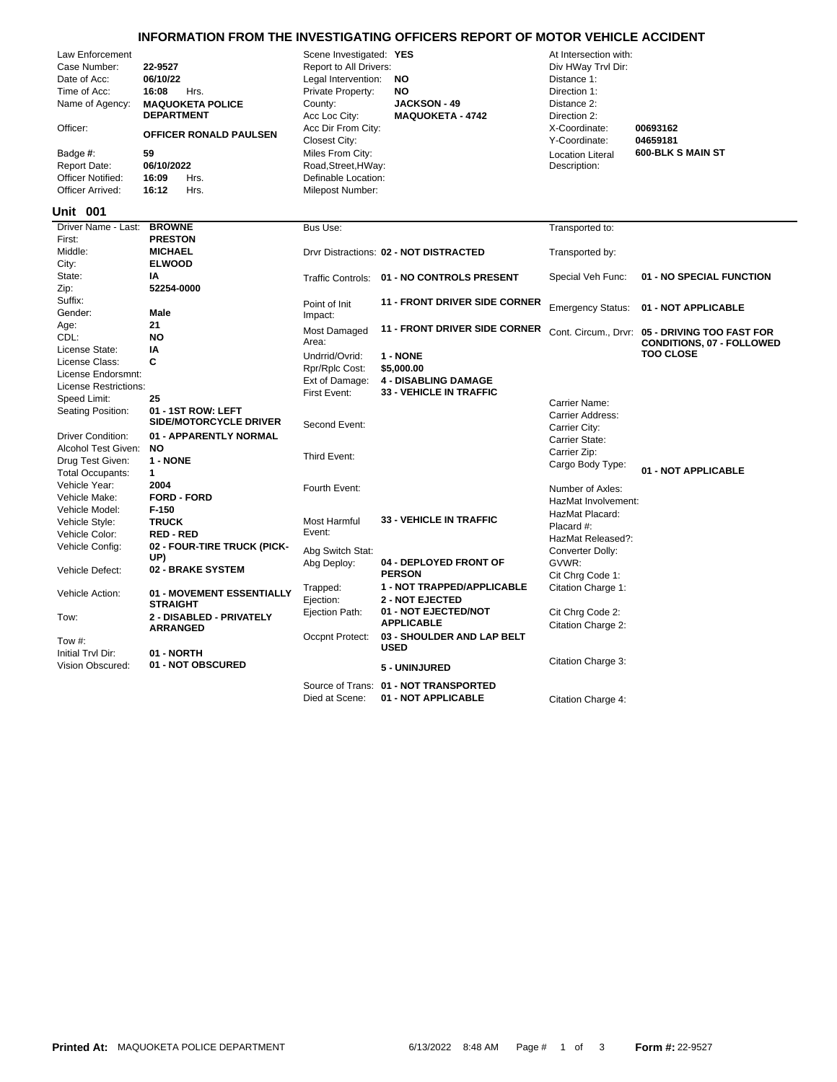## **INFORMATION FROM THE INVESTIGATING OFFICERS REPORT OF MOTOR VEHICLE ACCIDENT**

| Law Enforcement          |                               | Scene Investigated: YES        |                                                               | At Intersection with:    |                                                                             |
|--------------------------|-------------------------------|--------------------------------|---------------------------------------------------------------|--------------------------|-----------------------------------------------------------------------------|
| Case Number:             | 22-9527                       | Report to All Drivers:         |                                                               | Div HWay Trvl Dir:       |                                                                             |
| Date of Acc:             | 06/10/22                      | Legal Intervention:            | NO                                                            | Distance 1:              |                                                                             |
| Time of Acc:             | Hrs.<br>16:08                 | Private Property:              | NO                                                            | Direction 1:             |                                                                             |
| Name of Agency:          | <b>MAQUOKETA POLICE</b>       | County:                        | <b>JACKSON - 49</b>                                           | Distance 2:              |                                                                             |
|                          | <b>DEPARTMENT</b>             | Acc Loc City:                  | <b>MAQUOKETA - 4742</b>                                       | Direction 2:             |                                                                             |
| Officer:                 |                               | Acc Dir From City:             |                                                               | X-Coordinate:            | 00693162                                                                    |
|                          | <b>OFFICER RONALD PAULSEN</b> | Closest City:                  |                                                               | Y-Coordinate:            | 04659181                                                                    |
| Badge #:                 | 59                            | Miles From City:               |                                                               | <b>Location Literal</b>  | 600-BLK S MAIN ST                                                           |
| <b>Report Date:</b>      | 06/10/2022                    | Road, Street, HWay:            |                                                               | Description:             |                                                                             |
| <b>Officer Notified:</b> | 16:09<br>Hrs.                 | Definable Location:            |                                                               |                          |                                                                             |
| Officer Arrived:         | 16:12<br>Hrs.                 | Milepost Number:               |                                                               |                          |                                                                             |
|                          |                               |                                |                                                               |                          |                                                                             |
| <b>Unit 001</b>          |                               |                                |                                                               |                          |                                                                             |
| Driver Name - Last:      | <b>BROWNE</b>                 | Bus Use:                       |                                                               | Transported to:          |                                                                             |
| First:                   | <b>PRESTON</b>                |                                |                                                               |                          |                                                                             |
| Middle:                  | <b>MICHAEL</b>                |                                | Drvr Distractions: 02 - NOT DISTRACTED                        | Transported by:          |                                                                             |
| City:                    | <b>ELWOOD</b>                 |                                |                                                               |                          |                                                                             |
| State:                   | IA                            |                                | Traffic Controls: 01 - NO CONTROLS PRESENT                    | Special Veh Func:        | 01 - NO SPECIAL FUNCTION                                                    |
| Zip:                     | 52254-0000                    |                                |                                                               |                          |                                                                             |
| Suffix:                  |                               | Point of Init                  | <b>11 - FRONT DRIVER SIDE CORNER</b>                          |                          | 01 - NOT APPLICABLE                                                         |
| Gender:                  | Male                          | Impact:                        |                                                               | <b>Emergency Status:</b> |                                                                             |
| Age:                     | 21                            | Most Damaged                   | <b>11 - FRONT DRIVER SIDE CORNER</b>                          |                          |                                                                             |
| CDL:                     | <b>NO</b>                     | Area:                          |                                                               |                          | Cont. Circum., Drvr: 05 - DRIVING TOO FAST FOR<br>CONDITIONS, 07 - FOLLOWED |
| License State:           | IA                            | Undrrid/Ovrid:                 | 1 - NONE                                                      |                          | <b>TOO CLOSE</b>                                                            |
| License Class:           | C                             | Rpr/Rplc Cost:                 | \$5,000.00                                                    |                          |                                                                             |
| License Endorsmnt:       |                               |                                |                                                               |                          |                                                                             |
| License Restrictions:    |                               | Ext of Damage:<br>First Event: | <b>4 - DISABLING DAMAGE</b><br><b>33 - VEHICLE IN TRAFFIC</b> |                          |                                                                             |
| Speed Limit:             | 25                            |                                |                                                               | Carrier Name:            |                                                                             |
| Seating Position:        | 01 - 1ST ROW: LEFT            |                                |                                                               | Carrier Address:         |                                                                             |
|                          | SIDE/MOTORCYCLE DRIVER        | Second Event:                  |                                                               | Carrier City:            |                                                                             |
| <b>Driver Condition:</b> | 01 - APPARENTLY NORMAL        |                                |                                                               | Carrier State:           |                                                                             |
| Alcohol Test Given:      | <b>NO</b>                     |                                |                                                               | Carrier Zip:             |                                                                             |
| Drug Test Given:         | 1 - NONE                      | Third Event:                   |                                                               | Cargo Body Type:         |                                                                             |
| <b>Total Occupants:</b>  | $\mathbf{1}$                  |                                |                                                               |                          | 01 - NOT APPLICABLE                                                         |
| Vehicle Year:            | 2004                          | Fourth Event:                  |                                                               | Number of Axles:         |                                                                             |
| Vehicle Make:            | <b>FORD - FORD</b>            |                                |                                                               | HazMat Involvement:      |                                                                             |
| Vehicle Model:           | $F-150$                       |                                |                                                               | HazMat Placard:          |                                                                             |
| Vehicle Style:           | <b>TRUCK</b>                  | Most Harmful                   | <b>33 - VEHICLE IN TRAFFIC</b>                                | Placard #:               |                                                                             |
| Vehicle Color:           | <b>RED - RED</b>              | Event:                         |                                                               | HazMat Released?:        |                                                                             |
| Vehicle Config:          | 02 - FOUR-TIRE TRUCK (PICK-   | Abg Switch Stat:               |                                                               | Converter Dolly:         |                                                                             |
|                          | UP)                           | Abg Deploy:                    | 04 - DEPLOYED FRONT OF                                        | GVWR:                    |                                                                             |
| Vehicle Defect:          | 02 - BRAKE SYSTEM             |                                | <b>PERSON</b>                                                 | Cit Chrg Code 1:         |                                                                             |
|                          |                               | Trapped:                       | <b>1 - NOT TRAPPED/APPLICABLE</b>                             | Citation Charge 1:       |                                                                             |
| Vehicle Action:          | 01 - MOVEMENT ESSENTIALLY     | Ejection:                      | <b>2 - NOT EJECTED</b>                                        |                          |                                                                             |
|                          | <b>STRAIGHT</b>               | Ejection Path:                 | 01 - NOT EJECTED/NOT                                          | Cit Chrg Code 2:         |                                                                             |
| Tow:                     | 2 - DISABLED - PRIVATELY      |                                | <b>APPLICABLE</b>                                             |                          |                                                                             |
|                          | <b>ARRANGED</b>               | Occpnt Protect:                | 03 - SHOULDER AND LAP BELT                                    | Citation Charge 2:       |                                                                             |
| Tow #:                   |                               |                                | <b>USED</b>                                                   |                          |                                                                             |
| Initial Trvl Dir:        | 01 - NORTH                    |                                |                                                               | Citation Charge 3:       |                                                                             |
| Vision Obscured:         | 01 - NOT OBSCURED             |                                | 5 - UNINJURED                                                 |                          |                                                                             |
|                          |                               |                                | Source of Trans: 01 - NOT TRANSPORTED                         |                          |                                                                             |
|                          |                               |                                |                                                               |                          |                                                                             |

Died at Scene: **01 - NOT APPLICABLE** Citation Charge 4: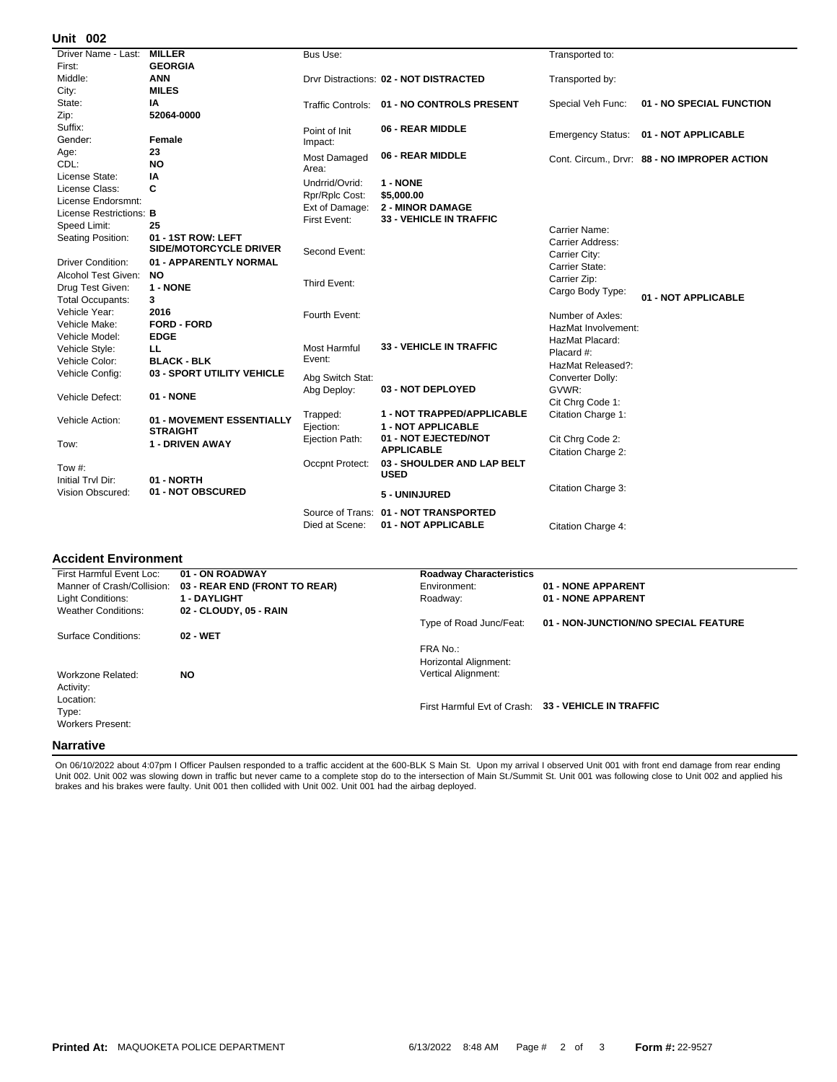## **002 Unit**

| UIIIL VV <del>L</del>    |                               |                  |                                                           |                     |                                            |
|--------------------------|-------------------------------|------------------|-----------------------------------------------------------|---------------------|--------------------------------------------|
| Driver Name - Last:      | <b>MILLER</b>                 | Bus Use:         |                                                           | Transported to:     |                                            |
| First:                   | <b>GEORGIA</b>                |                  |                                                           |                     |                                            |
| Middle:                  | <b>ANN</b>                    |                  | Drvr Distractions: 02 - NOT DISTRACTED                    | Transported by:     |                                            |
| City:                    | <b>MILES</b>                  |                  |                                                           |                     |                                            |
| State:                   | IA                            |                  | Traffic Controls: 01 - NO CONTROLS PRESENT                | Special Veh Func:   | 01 - NO SPECIAL FUNCTION                   |
| Zip:                     | 52064-0000                    |                  |                                                           |                     |                                            |
| Suffix:                  |                               | Point of Init    | 06 - REAR MIDDLE                                          |                     |                                            |
| Gender:                  | Female                        | Impact:          |                                                           |                     | Emergency Status: 01 - NOT APPLICABLE      |
| Age:                     | 23                            | Most Damaged     | 06 - REAR MIDDLE                                          |                     |                                            |
| CDL:                     | <b>NO</b>                     | Area:            |                                                           |                     | Cont. Circum Drvr: 88 - NO IMPROPER ACTION |
| License State:           | ΙA                            | Undrrid/Ovrid:   | 1 - NONE                                                  |                     |                                            |
| License Class:           | C                             |                  |                                                           |                     |                                            |
| License Endorsmnt:       |                               | Rpr/Rplc Cost:   | \$5,000.00                                                |                     |                                            |
| License Restrictions: B  |                               | Ext of Damage:   | <b>2 - MINOR DAMAGE</b><br><b>33 - VEHICLE IN TRAFFIC</b> |                     |                                            |
| Speed Limit:             | 25                            | First Event:     |                                                           | Carrier Name:       |                                            |
| Seating Position:        | 01 - 1ST ROW: LEFT            |                  |                                                           | Carrier Address:    |                                            |
|                          | <b>SIDE/MOTORCYCLE DRIVER</b> | Second Event:    |                                                           | Carrier City:       |                                            |
| <b>Driver Condition:</b> | 01 - APPARENTLY NORMAL        |                  |                                                           | Carrier State:      |                                            |
| Alcohol Test Given:      | <b>NO</b>                     |                  |                                                           | Carrier Zip:        |                                            |
| Drug Test Given:         | 1 - NONE                      | Third Event:     |                                                           | Cargo Body Type:    |                                            |
| <b>Total Occupants:</b>  | 3                             |                  |                                                           |                     | 01 - NOT APPLICABLE                        |
| Vehicle Year:            | 2016                          | Fourth Event:    |                                                           | Number of Axles:    |                                            |
| Vehicle Make:            | <b>FORD - FORD</b>            |                  |                                                           | HazMat Involvement: |                                            |
| Vehicle Model:           | <b>EDGE</b>                   |                  |                                                           | HazMat Placard:     |                                            |
| Vehicle Style:           | ᄔ                             | Most Harmful     | <b>33 - VEHICLE IN TRAFFIC</b>                            | Placard #:          |                                            |
| Vehicle Color:           | <b>BLACK - BLK</b>            | Event:           |                                                           | HazMat Released?:   |                                            |
| Vehicle Config:          | 03 - SPORT UTILITY VEHICLE    | Abg Switch Stat: |                                                           | Converter Dolly:    |                                            |
|                          |                               | Abg Deploy:      | 03 - NOT DEPLOYED                                         | GVWR:               |                                            |
| Vehicle Defect:          | 01 - NONE                     |                  |                                                           | Cit Chrg Code 1:    |                                            |
|                          |                               | Trapped:         | <b>1 - NOT TRAPPED/APPLICABLE</b>                         | Citation Charge 1:  |                                            |
| Vehicle Action:          | 01 - MOVEMENT ESSENTIALLY     | Ejection:        | <b>1 - NOT APPLICABLE</b>                                 |                     |                                            |
|                          | <b>STRAIGHT</b>               | Ejection Path:   | 01 - NOT EJECTED/NOT                                      | Cit Chrg Code 2:    |                                            |
| Tow:                     | <b>1 - DRIVEN AWAY</b>        |                  | <b>APPLICABLE</b>                                         |                     |                                            |
|                          |                               | Occpnt Protect:  | 03 - SHOULDER AND LAP BELT                                | Citation Charge 2:  |                                            |
| Tow #:                   |                               |                  | <b>USED</b>                                               |                     |                                            |
| Initial Trvl Dir:        | 01 - NORTH                    |                  |                                                           |                     |                                            |
| Vision Obscured:         | 01 - NOT OBSCURED             |                  | 5 - UNINJURED                                             | Citation Charge 3:  |                                            |
|                          |                               |                  | Source of Trans: 01 - NOT TRANSPORTED                     |                     |                                            |
|                          |                               | Died at Scene:   | 01 - NOT APPLICABLE                                       | Citation Charge 4:  |                                            |
|                          |                               |                  |                                                           |                     |                                            |

## **Accident Environment**

| First Harmful Event Loc:   | 01 - ON ROADWAY               | <b>Roadway Characteristics</b> |                                                     |  |  |  |
|----------------------------|-------------------------------|--------------------------------|-----------------------------------------------------|--|--|--|
| Manner of Crash/Collision: | 03 - REAR END (FRONT TO REAR) | Environment:                   | 01 - NONE APPARENT                                  |  |  |  |
| Light Conditions:          | <b>1 - DAYLIGHT</b>           | Roadway:                       | 01 - NONE APPARENT                                  |  |  |  |
| <b>Weather Conditions:</b> | 02 - CLOUDY, 05 - RAIN        |                                |                                                     |  |  |  |
|                            |                               | Type of Road Junc/Feat:        | 01 - NON-JUNCTION/NO SPECIAL FEATURE                |  |  |  |
| Surface Conditions:        | 02 - WET                      |                                |                                                     |  |  |  |
|                            |                               | FRA No.:                       |                                                     |  |  |  |
|                            |                               | Horizontal Alignment:          |                                                     |  |  |  |
| Workzone Related:          | <b>NO</b>                     | <b>Vertical Alignment:</b>     |                                                     |  |  |  |
| Activity:                  |                               |                                |                                                     |  |  |  |
| Location:                  |                               |                                |                                                     |  |  |  |
| Type:                      |                               |                                | First Harmful Evt of Crash: 33 - VEHICLE IN TRAFFIC |  |  |  |
| Workers Present:           |                               |                                |                                                     |  |  |  |
|                            |                               |                                |                                                     |  |  |  |
| <b>Narrative</b>           |                               |                                |                                                     |  |  |  |

On 06/10/2022 about 4:07pm I Officer Paulsen responded to a traffic accident at the 600-BLK S Main St. Upon my arrival I observed Unit 001 with front end damage from rear ending<br>Unit 002. Unit 002 was slowing down in traff brakes and his brakes were faulty. Unit 001 then collided with Unit 002. Unit 001 had the airbag deployed.